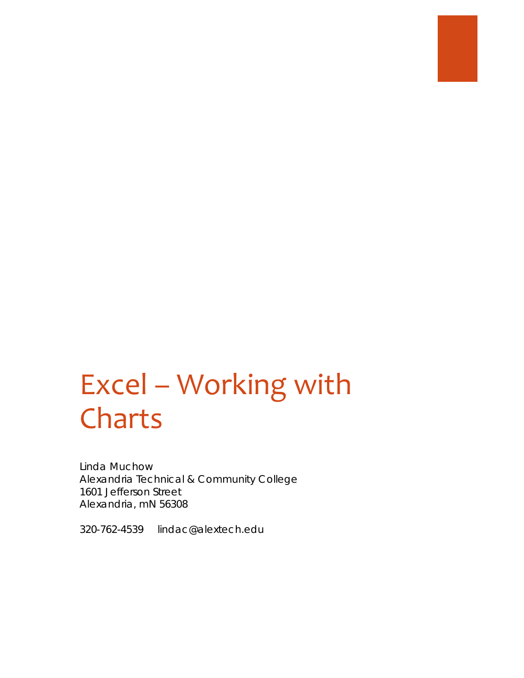# Excel – Working with Charts

Linda Muchow Alexandria Technical & Community College 1601 Jefferson Street Alexandria, mN 56308

320-762-4539 lindac@alextech.edu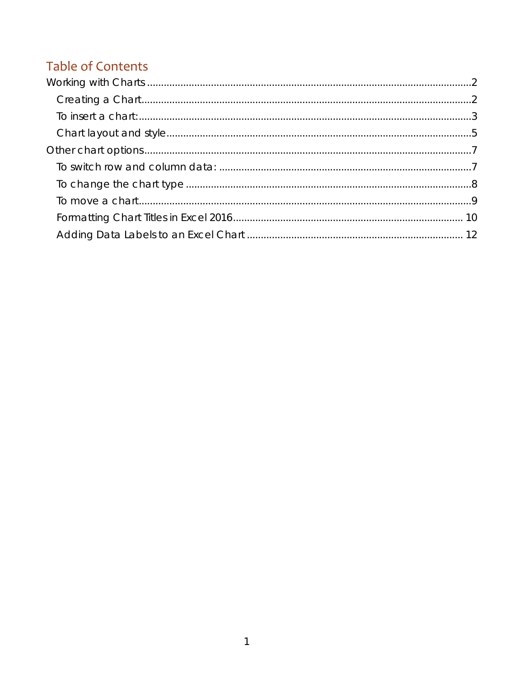# **Table of Contents**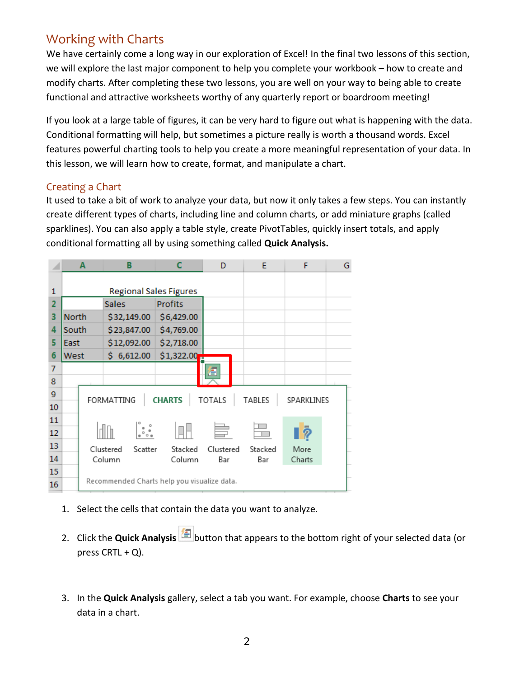# <span id="page-2-0"></span>Working with Charts

We have certainly come a long way in our exploration of Excel! In the final two lessons of this section, we will explore the last major component to help you complete your workbook – how to create and modify charts. After completing these two lessons, you are well on your way to being able to create functional and attractive worksheets worthy of any quarterly report or boardroom meeting!

If you look at a large table of figures, it can be very hard to figure out what is happening with the data. Conditional formatting will help, but sometimes a picture really is worth a thousand words. Excel features powerful charting tools to help you create a more meaningful representation of your data. In this lesson, we will learn how to create, format, and manipulate a chart.

### <span id="page-2-1"></span>Creating a Chart

It used to take a bit of work to analyze your data, but now it only takes a few steps. You can instantly create different types of charts, including line and column charts, or add miniature graphs (called sparklines). You can also apply a table style, create PivotTables, quickly insert totals, and apply conditional formatting all by using something called **Quick Analysis.**

| ◢              | в<br>A                                    |  |                                             | D              | E         | F      | G |  |
|----------------|-------------------------------------------|--|---------------------------------------------|----------------|-----------|--------|---|--|
|                |                                           |  |                                             |                |           |        |   |  |
| 1              |                                           |  | <b>Regional Sales Figures</b>               |                |           |        |   |  |
| $\overline{2}$ |                                           |  | <b>Sales</b>                                | <b>Profits</b> |           |        |   |  |
| з              | <b>North</b>                              |  | \$32,149.00                                 | \$6,429.00     |           |        |   |  |
| 4              | South                                     |  | \$23,847.00                                 | \$4,769.00     |           |        |   |  |
| 5              | East                                      |  | \$12,092.00                                 | \$2,718.00     |           |        |   |  |
| 6              | West                                      |  | \$6,612.00                                  | \$1,322.00     |           |        |   |  |
| 7              |                                           |  |                                             |                | Ξ         |        |   |  |
| 8              |                                           |  |                                             |                |           |        |   |  |
| 9              |                                           |  |                                             | <b>CHARTS</b>  |           | TABLES |   |  |
| 10             | FORMATTING<br><b>TOTALS</b><br>SPARKLINES |  |                                             |                |           |        |   |  |
| 11             |                                           |  |                                             |                |           |        |   |  |
| 12             | i.                                        |  |                                             |                | $\bar{p}$ |        |   |  |
| 13             | Clustered<br>Scatter                      |  | Stacked                                     | Clustered      | Stacked   | More   |   |  |
| 14             | Column                                    |  | Column                                      | Bar            | Bar       | Charts |   |  |
| 15             |                                           |  |                                             |                |           |        |   |  |
| 16             |                                           |  | Recommended Charts help you visualize data. |                |           |        |   |  |

- 1. Select the cells that contain the data you want to analyze.
- 2. Click the **Quick Analysis** button that appears to the bottom right of your selected data (or press  $CRTL + Q$ ).
- 3. In the **Quick Analysis** gallery, select a tab you want. For example, choose **Charts** to see your data in a chart.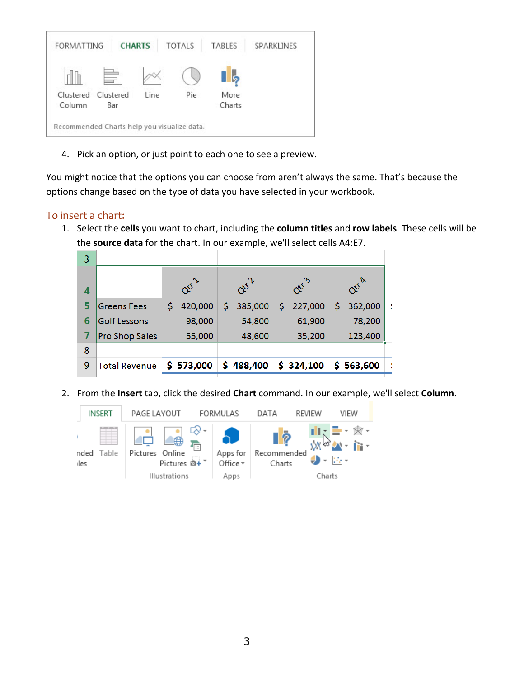

4. Pick an option, or just point to each one to see a preview.

You might notice that the options you can choose from aren't always the same. That's because the options change based on the type of data you have selected in your workbook.

### <span id="page-3-0"></span>To insert a chart:

1. Select the **cells** you want to chart, including the **column titles** and **row labels**. These cells will be the **source data** for the chart. In our example, we'll select cells A4:E7.

| 3 |                      |               |               |                  |               |  |
|---|----------------------|---------------|---------------|------------------|---------------|--|
| 4 |                      | Otil          | Otil          | Oti <sup>3</sup> | Orra          |  |
| 5 | <b>Greens Fees</b>   | 420,000<br>\$ | 385,000       | Ś<br>227,000     | 362,000<br>\$ |  |
| 6 | <b>Golf Lessons</b>  | 98,000        | 54,800        | 61,900           | 78,200        |  |
|   | Pro Shop Sales       | 55,000        | 48,600        | 35,200           | 123,400       |  |
| 8 |                      |               |               |                  |               |  |
| 9 | <b>Total Revenue</b> | \$ 573,000    | 488,400<br>\$ | \$324,100        | S.<br>563,600 |  |
|   |                      |               |               |                  |               |  |

2. From the **Insert** tab, click the desired **Chart** command. In our example, we'll select **Column**.

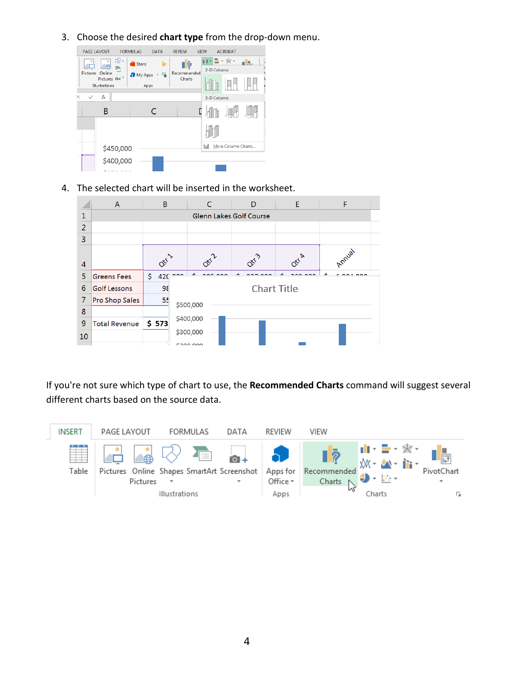3. Choose the desired **chart type** from the drop-down menu.



4. The selected chart will be inserted in the worksheet.



If you're not sure which type of chart to use, the **Recommended Charts** command will suggest several different charts based on the source data.

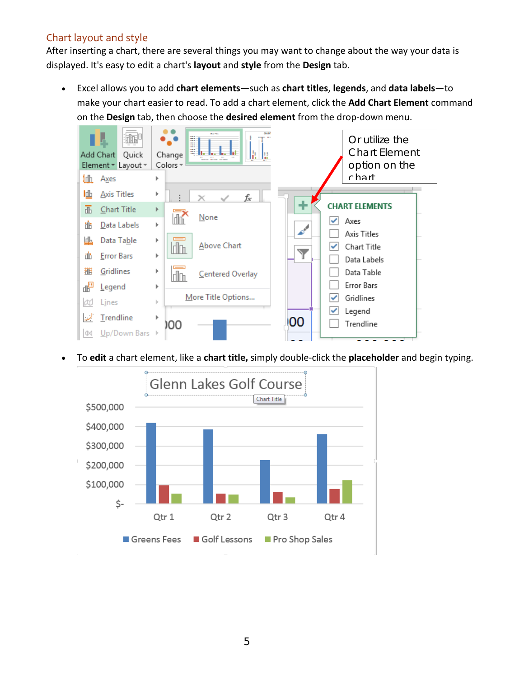# <span id="page-5-0"></span>Chart layout and style

After inserting a chart, there are several things you may want to change about the way your data is displayed. It's easy to edit a chart's **layout** and **style** from the **Design** tab.

• Excel allows you to add **chart elements**—such as **chart titles**, **legends**, and **data labels**—to make your chart easier to read. To add a chart element, click the **Add Chart Element** command on the **Design** tab, then choose the **desired element** from the drop-down menu.

![](_page_5_Figure_3.jpeg)

• To **edit** a chart element, like a **chart title,** simply double-click the **placeholder** and begin typing.

![](_page_5_Figure_5.jpeg)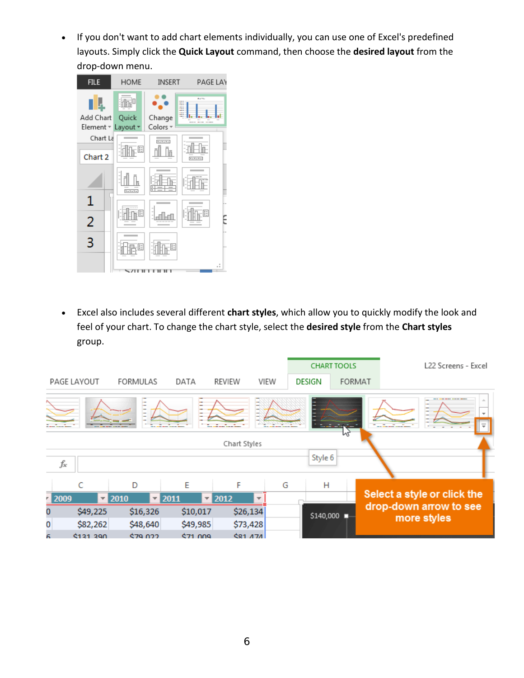• If you don't want to add chart elements individually, you can use one of Excel's predefined layouts. Simply click the **Quick Layout** command, then choose the **desired layout** from the drop-down menu.

![](_page_6_Picture_1.jpeg)

• Excel also includes several different **chart styles**, which allow you to quickly modify the look and feel of your chart. To change the chart style, select the **desired style** from the **Chart styles**  group.

![](_page_6_Picture_3.jpeg)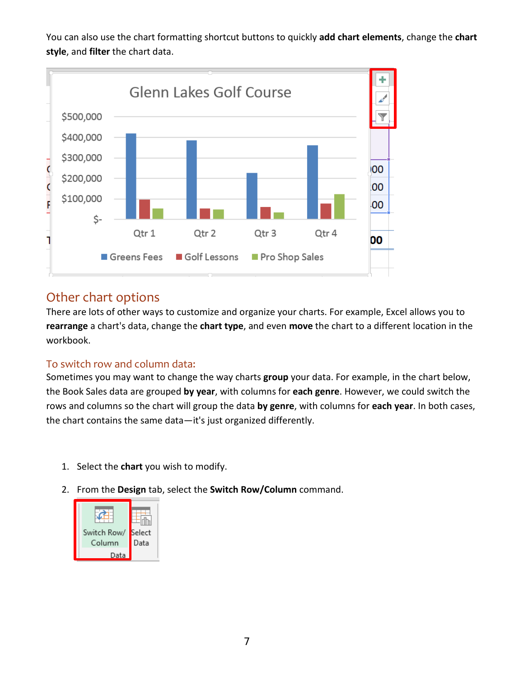You can also use the chart formatting shortcut buttons to quickly **add chart elements**, change the **chart style**, and **filter** the chart data.

![](_page_7_Figure_1.jpeg)

# <span id="page-7-0"></span>Other chart options

There are lots of other ways to customize and organize your charts. For example, Excel allows you to **rearrange** a chart's data, change the **chart type**, and even **move** the chart to a different location in the workbook.

# <span id="page-7-1"></span>To switch row and column data:

Sometimes you may want to change the way charts **group** your data. For example, in the chart below, the Book Sales data are grouped **by year**, with columns for **each genre**. However, we could switch the rows and columns so the chart will group the data **by genre**, with columns for **each year**. In both cases, the chart contains the same data—it's just organized differently.

- 1. Select the **chart** you wish to modify.
- 2. From the **Design** tab, select the **Switch Row/Column** command.

![](_page_7_Picture_8.jpeg)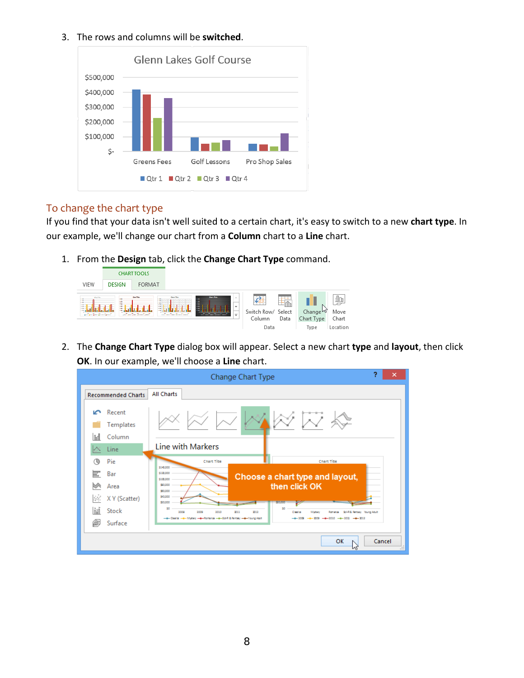#### 3. The rows and columns will be **switched**.

![](_page_8_Figure_1.jpeg)

# <span id="page-8-0"></span>To change the chart type

If you find that your data isn't well suited to a certain chart, it's easy to switch to a new **chart type**. In our example, we'll change our chart from a **Column** chart to a **Line** chart.

1. From the **Design** tab, click the **Change Chart Type** command.

![](_page_8_Picture_5.jpeg)

2. The **Change Chart Type** dialog box will appear. Select a new chart **type** and **layout**, then click **OK**. In our example, we'll choose a **Line** chart.

|                             |                               | Change Chart Type                                                                                                                                                                                                                        | 2 | ×             |
|-----------------------------|-------------------------------|------------------------------------------------------------------------------------------------------------------------------------------------------------------------------------------------------------------------------------------|---|---------------|
|                             | <b>Recommended Charts</b>     | <b>All Charts</b>                                                                                                                                                                                                                        |   |               |
| $\sim$<br>1 Thri            | Recent<br>Templates<br>Column |                                                                                                                                                                                                                                          |   |               |
|                             | Line                          | Line with Markers                                                                                                                                                                                                                        |   |               |
| ∕€<br>Pie                   |                               | Chart Title<br>Chart Title                                                                                                                                                                                                               |   |               |
| 冨<br>Bar<br>₩               | Area                          | \$140,000<br>\$120,000<br>Choose a chart type and layout,<br>\$100,000<br>then click OK<br>\$80,000                                                                                                                                      |   |               |
| $\mathcal{L}^{\mathcal{L}}$ | X Y (Scatter)                 | \$50,000<br>\$40,000<br>520,000<br><b>Balanc</b>                                                                                                                                                                                         |   |               |
| 師                           | Stock                         | 50<br>50<br>2010<br>2008<br>2009<br>2011<br>2012<br>Romance Sci-R& Reitsey Noung Adult<br>Classics<br>Muttery<br>-8-Casic -8-Mytey -8-Romana -8-S6R & Ratery -8-Young Adult<br>$-4 - 203 - 4 - 2010 - 4 - 2011 - 4 - 2012$<br>$-4 - 200$ |   |               |
| 盈                           | Surface                       |                                                                                                                                                                                                                                          |   |               |
|                             |                               | OK                                                                                                                                                                                                                                       |   | Cancel<br>111 |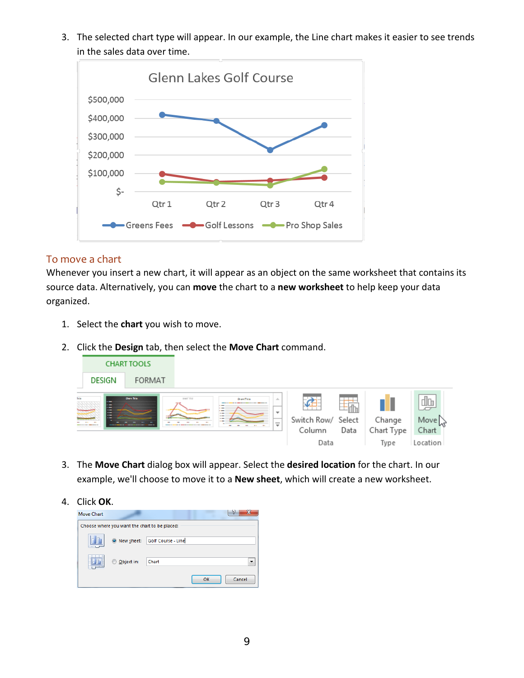3. The selected chart type will appear. In our example, the Line chart makes it easier to see trends in the sales data over time.

![](_page_9_Figure_1.jpeg)

### <span id="page-9-0"></span>To move a chart

Whenever you insert a new chart, it will appear as an object on the same worksheet that contains its source data. Alternatively, you can **move** the chart to a **new worksheet** to help keep your data organized.

- 1. Select the **chart** you wish to move.
- 2. Click the **Design** tab, then select the **Move Chart** command.

| <b>CHART TOOLS</b>           |        |                    |                                                                   |                              |                          |                      |
|------------------------------|--------|--------------------|-------------------------------------------------------------------|------------------------------|--------------------------|----------------------|
| DESIGN                       | FORMAT |                    |                                                                   |                              |                          |                      |
| <b>Select</b><br>David Bills |        | <b>DON'T TITLE</b> | Oran This<br>ă.<br>-<br>$\overline{\phantom{a}}$                  |                              | $\overline{\phantom{0}}$ |                      |
|                              |        |                    | $-$<br>--<br>$\overline{\phantom{0}}$<br>$\overline{\phantom{a}}$ | Switch Row/ Select<br>Column | Data                     | Change<br>Chart Type |
|                              |        |                    |                                                                   | Data                         |                          | Tvpe                 |

3. The **Move Chart** dialog box will appear. Select the **desired location** for the chart. In our example, we'll choose to move it to a **New sheet**, which will create a new worksheet.

4. Click **OK**.

![](_page_9_Picture_9.jpeg)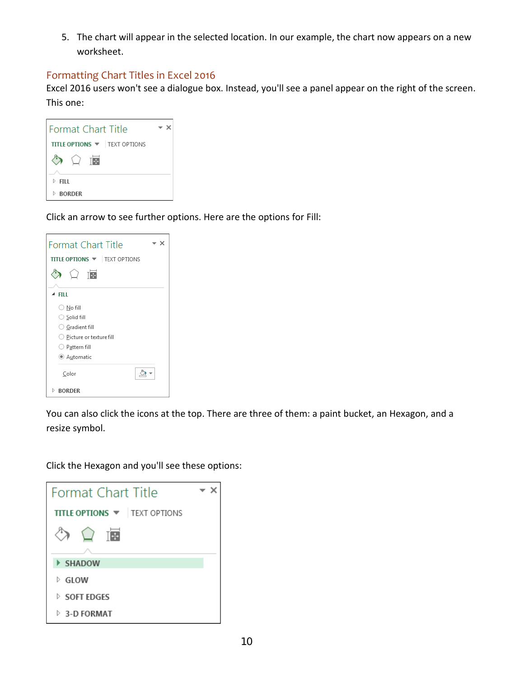5. The chart will appear in the selected location. In our example, the chart now appears on a new worksheet.

## <span id="page-10-0"></span>Formatting Chart Titles in Excel 2016

Excel 2016 users won't see a dialogue box. Instead, you'll see a panel appear on the right of the screen. This one:

| <b>Format Chart Title</b>            |  |  |
|--------------------------------------|--|--|
| <b>TITLE OPTIONS WE TEXT OPTIONS</b> |  |  |
| TH-                                  |  |  |
| FILL.                                |  |  |
| <b>BORDER</b><br>D                   |  |  |

Click an arrow to see further options. Here are the options for Fill:

| <b>Format Chart Title</b>            |  |  |  |  |
|--------------------------------------|--|--|--|--|
| <b>TITLE OPTIONS WE TEXT OPTIONS</b> |  |  |  |  |
| TE                                   |  |  |  |  |
|                                      |  |  |  |  |
| FILL                                 |  |  |  |  |
| $\bigcirc$ No fill                   |  |  |  |  |
| ○ Solid fill                         |  |  |  |  |
| ○ Gradient fill                      |  |  |  |  |
| $\bigcirc$ Picture or texture fill   |  |  |  |  |
| $\bigcirc$ Pattern fill              |  |  |  |  |
| ● Automatic                          |  |  |  |  |
| Color                                |  |  |  |  |
| Þ<br><b>BORDER</b>                   |  |  |  |  |

You can also click the icons at the top. There are three of them: a paint bucket, an Hexagon, and a resize symbol.

Click the Hexagon and you'll see these options:

| Format Chart Title                   |  |  |  |
|--------------------------------------|--|--|--|
| <b>TITLE OPTIONS WE TEXT OPTIONS</b> |  |  |  |
|                                      |  |  |  |
|                                      |  |  |  |
| <b>SHADOW</b>                        |  |  |  |
| <b>GLOW</b>                          |  |  |  |
| $\triangleright$ SOFT EDGES          |  |  |  |
| 3-D FORMAT                           |  |  |  |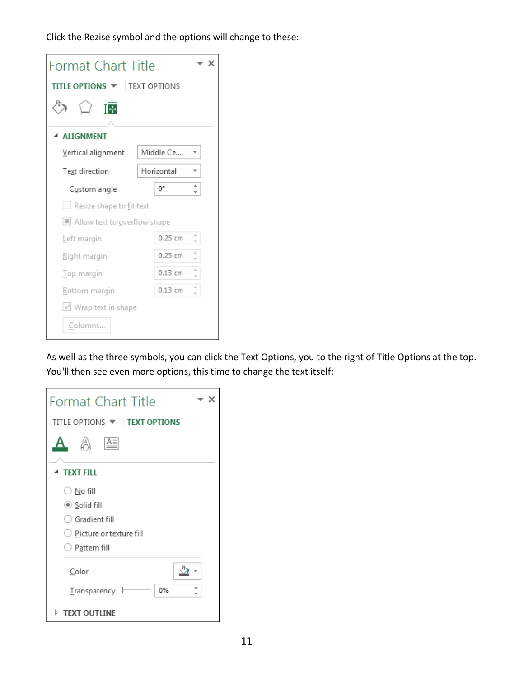Click the Rezise symbol and the options will change to these:

| <b>Format Chart Title</b>           |            |    |
|-------------------------------------|------------|----|
| <b>ITLE OPTIONS WE TEXT OPTIONS</b> |            |    |
| 悔                                   |            |    |
| <b>ALIGNMENT</b>                    |            |    |
| Vertical alignment                  | Middle Ce  |    |
| Text direction                      | Horizontal |    |
| Custom angle                        | 0°         |    |
| Resize shape to fit text            |            |    |
| ■ Allow text to overflow shape      |            |    |
| Left margin                         | $0.25$ cm  | ă. |
| Right margin                        | $0.25$ cm  |    |
| Top margin                          | $0.13$ cm  | ă. |
| Bottom margin                       | $0.13$ cm  |    |
| $\vee$ Wrap text in shape           |            |    |
| Columns                             |            |    |

As well as the three symbols, you can click the Text Options, you to the right of Title Options at the top. You'll then see even more options, this time to change the text itself:

| <b>Format Chart Title</b>           |  |  |  |
|-------------------------------------|--|--|--|
| TITLE OPTIONS <b>V TEXT OPTIONS</b> |  |  |  |
| 公<br>$A \equiv$                     |  |  |  |
| <b>TEXT FILL</b>                    |  |  |  |
| ○ <u>N</u> o fill                   |  |  |  |
| $\circledcirc$ Solid fill           |  |  |  |
| $\bigcirc$ Gradient fill            |  |  |  |
| $\bigcirc$ Picture or texture fill  |  |  |  |
| P <u>a</u> ttern fill               |  |  |  |
| Color                               |  |  |  |
| 0%<br>Transparency l                |  |  |  |
| $\triangleright$ TEXT OUTLINE       |  |  |  |